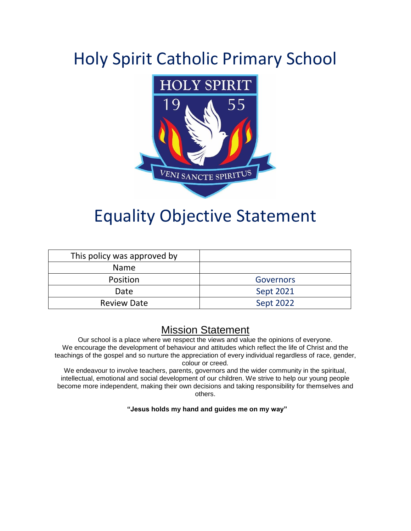## Holy Spirit Catholic Primary School



### Equality Objective Statement

| This policy was approved by |                  |
|-----------------------------|------------------|
| <b>Name</b>                 |                  |
| Position                    | <b>Governors</b> |
| Date                        | <b>Sept 2021</b> |
| <b>Review Date</b>          | Sept 2022        |

### Mission Statement

Our school is a place where we respect the views and value the opinions of everyone. We encourage the development of behaviour and attitudes which reflect the life of Christ and the teachings of the gospel and so nurture the appreciation of every individual regardless of race, gender, colour or creed.

We endeavour to involve teachers, parents, governors and the wider community in the spiritual, intellectual, emotional and social development of our children. We strive to help our young people become more independent, making their own decisions and taking responsibility for themselves and others.

#### **"Jesus holds my hand and guides me on my way"**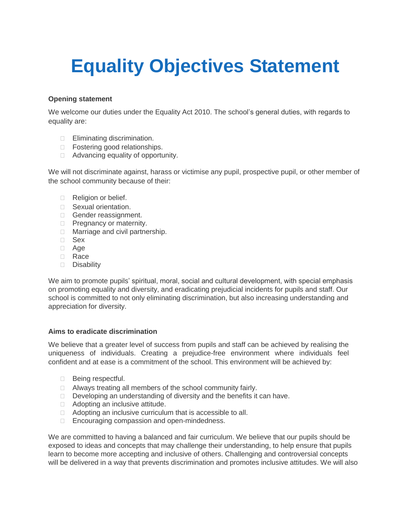# **Equality Objectives Statement**

#### **Opening statement**

We welcome our duties under the Equality Act 2010. The school's general duties, with regards to equality are:

- **Eliminating discrimination.**
- □ Fostering good relationships.
- $\Box$  Advancing equality of opportunity.

We will not discriminate against, harass or victimise any pupil, prospective pupil, or other member of the school community because of their:

- Religion or belief.
- Sexual orientation.
- Gender reassignment.
- **Pregnancy or maternity.**
- □ Marriage and civil partnership.
- Sex
- □ Age
- **D** Race
- Disability

We aim to promote pupils' spiritual, moral, social and cultural development, with special emphasis on promoting equality and diversity, and eradicating prejudicial incidents for pupils and staff. Our school is committed to not only eliminating discrimination, but also increasing understanding and appreciation for diversity.

#### **Aims to eradicate discrimination**

We believe that a greater level of success from pupils and staff can be achieved by realising the uniqueness of individuals. Creating a prejudice-free environment where individuals feel confident and at ease is a commitment of the school. This environment will be achieved by:

- □ Being respectful.
- □ Always treating all members of the school community fairly.
- Developing an understanding of diversity and the benefits it can have.
- □ Adopting an inclusive attitude.
- □ Adopting an inclusive curriculum that is accessible to all.
- □ Encouraging compassion and open-mindedness.

We are committed to having a balanced and fair curriculum. We believe that our pupils should be exposed to ideas and concepts that may challenge their understanding, to help ensure that pupils learn to become more accepting and inclusive of others. Challenging and controversial concepts will be delivered in a way that prevents discrimination and promotes inclusive attitudes. We will also